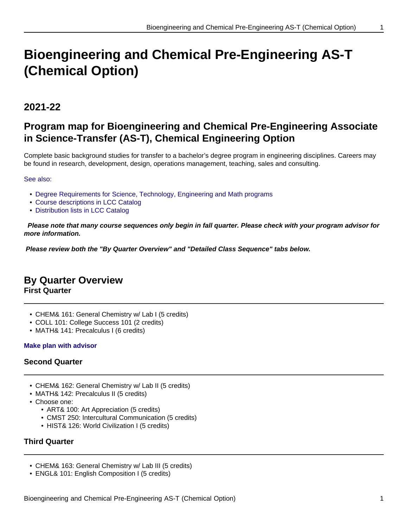# **Bioengineering and Chemical Pre-Engineering AS-T (Chemical Option)**

# **2021-22**

# **Program map for Bioengineering and Chemical Pre-Engineering Associate in Science-Transfer (AS-T), Chemical Engineering Option**

Complete basic background studies for transfer to a bachelor's degree program in engineering disciplines. Careers may be found in research, development, design, operations management, teaching, sales and consulting.

#### See also:

- Degree Requirements for Science, Technology, Engineering and Math programs
- Course descriptions in LCC Catalog
- Distribution lists in LCC Catalog

 **Please note that many course sequences only begin in fall quarter. Please check with your program advisor for more information.**

**Please review both the "By Quarter Overview" and "Detailed Class Sequence" tabs below.**

## **By Quarter Overview**

**First Quarter**

- CHEM& 161: General Chemistry w/ Lab I (5 credits)
- COLL 101: College Success 101 (2 credits)
- MATH& 141: Precalculus I (6 credits)

#### **Make plan with advisor**

#### **Second Quarter**

- CHEM& 162: General Chemistry w/ Lab II (5 credits)
- MATH& 142: Precalculus II (5 credits)
- Choose one:
	- ART& 100: Art Appreciation (5 credits)
	- CMST 250: Intercultural Communication (5 credits)
	- HIST& 126: World Civilization I (5 credits)

#### **Third Quarter**

- CHEM& 163: General Chemistry w/ Lab III (5 credits)
- ENGL& 101: English Composition I (5 credits)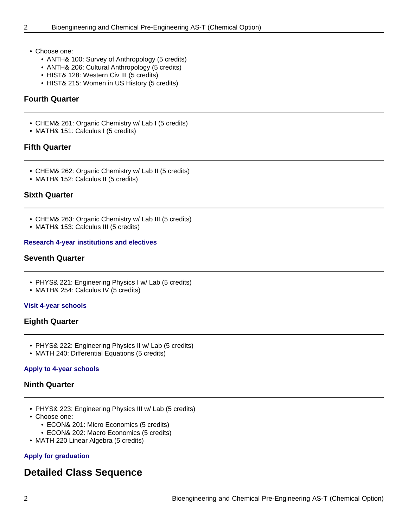- Choose one:
	- ANTH& 100: Survey of Anthropology (5 credits)
	- ANTH& 206: Cultural Anthropology (5 credits)
	- HIST& 128: Western Civ III (5 credits)
	- HIST& 215: Women in US History (5 credits)

#### **Fourth Quarter**

- CHEM& 261: Organic Chemistry w/ Lab I (5 credits)
- MATH& 151: Calculus I (5 credits)

#### **Fifth Quarter**

- CHEM& 262: Organic Chemistry w/ Lab II (5 credits)
- MATH& 152: Calculus II (5 credits)

#### **Sixth Quarter**

- CHEM& 263: Organic Chemistry w/ Lab III (5 credits)
- MATH& 153: Calculus III (5 credits)

#### **Research 4-year institutions and electives**

#### **Seventh Quarter**

- PHYS& 221: Engineering Physics I w/ Lab (5 credits)
- MATH& 254: Calculus IV (5 credits)

#### **Visit 4-year schools**

#### **Eighth Quarter**

- PHYS& 222: Engineering Physics II w/ Lab (5 credits)
- MATH 240: Differential Equations (5 credits)

#### **Apply to 4-year schools**

#### **Ninth Quarter**

- PHYS& 223: Engineering Physics III w/ Lab (5 credits)
- Choose one:
	- ECON& 201: Micro Economics (5 credits)
	- ECON& 202: Macro Economics (5 credits)
- MATH 220 Linear Algebra (5 credits)

#### **Apply for graduation**

### **Detailed Class Sequence**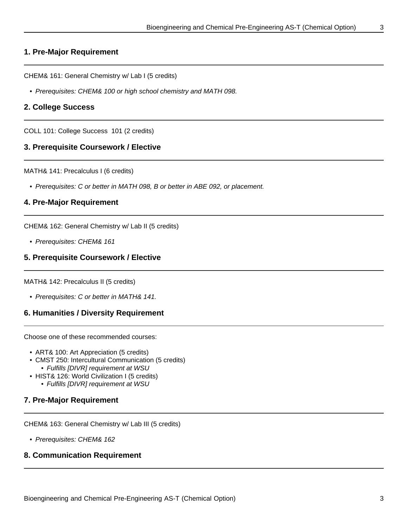#### **1. Pre-Major Requirement**

CHEM& 161: General Chemistry w/ Lab I (5 credits)

• Prerequisites: CHEM& 100 or high school chemistry and MATH 098.

#### **2. College Success**

COLL 101: College Success 101 (2 credits)

#### **3. Prerequisite Coursework / Elective**

MATH& 141: Precalculus I (6 credits)

• Prerequisites: C or better in MATH 098, B or better in ABE 092, or placement.

#### **4. Pre-Major Requirement**

CHEM& 162: General Chemistry w/ Lab II (5 credits)

• Prerequisites: CHEM& 161

#### **5. Prerequisite Coursework / Elective**

MATH& 142: Precalculus II (5 credits)

• Prerequisites: C or better in MATH& 141.

#### **6. Humanities / Diversity Requirement**

Choose one of these recommended courses:

- ART& 100: Art Appreciation (5 credits)
- CMST 250: Intercultural Communication (5 credits)
	- Fulfills [DIVR] requirement at WSU
- HIST& 126: World Civilization I (5 credits)
	- Fulfills [DIVR] requirement at WSU

#### **7. Pre-Major Requirement**

CHEM& 163: General Chemistry w/ Lab III (5 credits)

• Prerequisites: CHEM& 162

#### **8. Communication Requirement**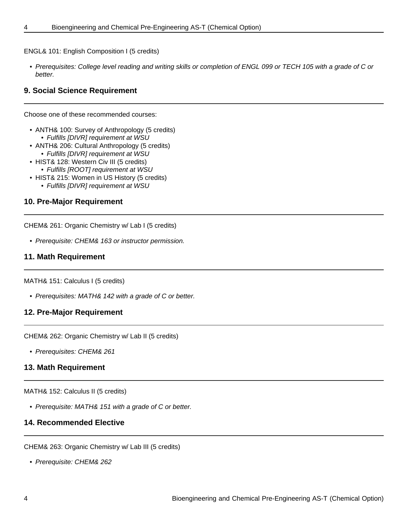ENGL& 101: English Composition I (5 credits)

• Prerequisites: College level reading and writing skills or completion of ENGL 099 or TECH 105 with a grade of C or better.

#### **9. Social Science Requirement**

Choose one of these recommended courses:

- ANTH& 100: Survey of Anthropology (5 credits) • Fulfills [DIVR] requirement at WSU
- ANTH& 206: Cultural Anthropology (5 credits) • Fulfills [DIVR] requirement at WSU
- HIST& 128: Western Civ III (5 credits)
	- Fulfills [ROOT] requirement at WSU
- HIST& 215: Women in US History (5 credits)
	- Fulfills [DIVR] requirement at WSU

#### **10. Pre-Major Requirement**

CHEM& 261: Organic Chemistry w/ Lab I (5 credits)

• Prerequisite: CHEM& 163 or instructor permission.

#### **11. Math Requirement**

MATH& 151: Calculus I (5 credits)

• Prerequisites: MATH& 142 with a grade of C or better.

#### **12. Pre-Major Requirement**

CHEM& 262: Organic Chemistry w/ Lab II (5 credits)

• Prerequisites: CHEM& 261

#### **13. Math Requirement**

MATH& 152: Calculus II (5 credits)

• Prerequisite: MATH& 151 with a grade of C or better.

#### **14. Recommended Elective**

CHEM& 263: Organic Chemistry w/ Lab III (5 credits)

• Prerequisite: CHEM& 262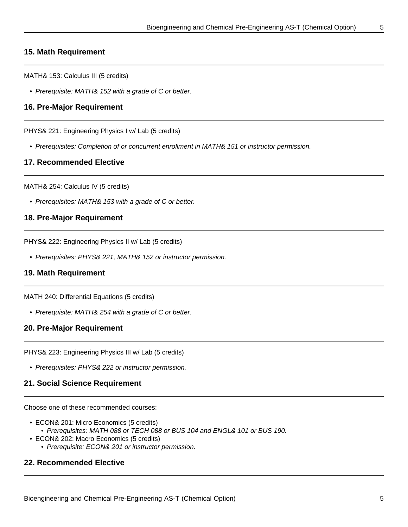#### **15. Math Requirement**

MATH& 153: Calculus III (5 credits)

• Prerequisite: MATH& 152 with a grade of C or better.

#### **16. Pre-Major Requirement**

PHYS& 221: Engineering Physics I w/ Lab (5 credits)

• Prerequisites: Completion of or concurrent enrollment in MATH& 151 or instructor permission.

#### **17. Recommended Elective**

MATH& 254: Calculus IV (5 credits)

• Prerequisites: MATH& 153 with a grade of C or better.

#### **18. Pre-Major Requirement**

PHYS& 222: Engineering Physics II w/ Lab (5 credits)

• Prerequisites: PHYS& 221, MATH& 152 or instructor permission.

#### **19. Math Requirement**

MATH 240: Differential Equations (5 credits)

• Prerequisite: MATH& 254 with a grade of C or better.

#### **20. Pre-Major Requirement**

PHYS& 223: Engineering Physics III w/ Lab (5 credits)

• Prerequisites: PHYS& 222 or instructor permission.

#### **21. Social Science Requirement**

Choose one of these recommended courses:

- ECON& 201: Micro Economics (5 credits) • Prerequisites: MATH 088 or TECH 088 or BUS 104 and ENGL& 101 or BUS 190.
- ECON& 202: Macro Economics (5 credits)
	- Prerequisite: ECON& 201 or instructor permission.

#### **22. Recommended Elective**